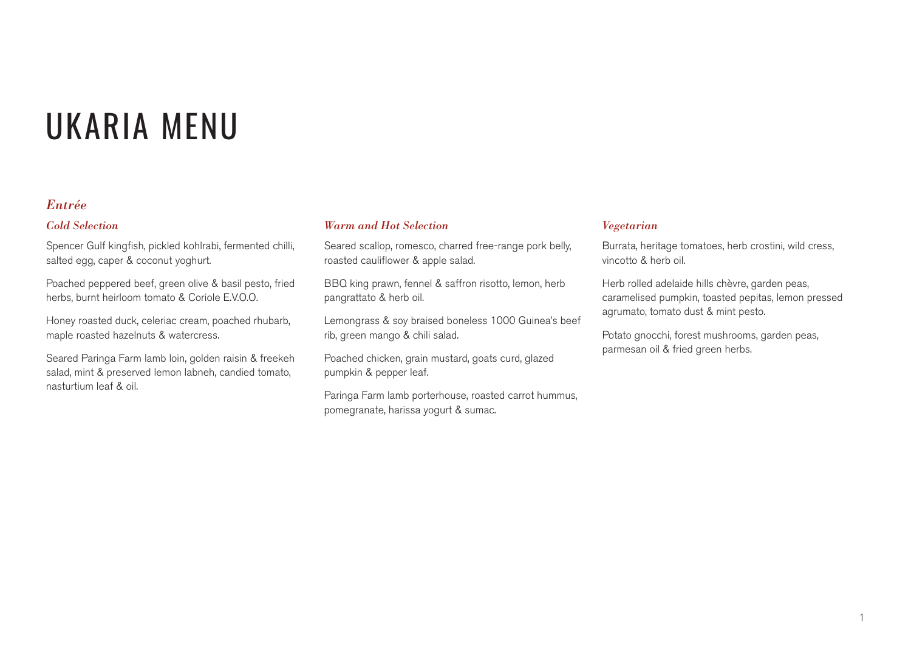### *Entrée*

#### *Cold Selection*

Spencer Gulf kingfish, pickled kohlrabi, fermented chilli, salted egg, caper & coconut yoghurt.

Poached peppered beef, green olive & basil pesto, fried herbs, burnt heirloom tomato & Coriole E.V.O.O.

Honey roasted duck, celeriac cream, poached rhubarb, maple roasted hazelnuts & watercress.

Seared Paringa Farm lamb loin, golden raisin & freekeh salad, mint & preserved lemon labneh, candied tomato, nasturtium leaf & oil.

#### *Warm and Hot Selection*

Seared scallop, romesco, charred free-range pork belly, roasted cauliflower & apple salad.

BBQ king prawn, fennel & saffron risotto, lemon, herb pangrattato & herb oil.

Lemongrass & soy braised boneless 1000 Guinea's beef rib, green mango & chili salad.

Poached chicken, grain mustard, goats curd, glazed pumpkin & pepper leaf.

Paringa Farm lamb porterhouse, roasted carrot hummus, pomegranate, harissa yogurt & sumac.

#### *Vegetarian*

Burrata, heritage tomatoes, herb crostini, wild cress, vincotto & herb oil.

Herb rolled adelaide hills chèvre, garden peas, caramelised pumpkin, toasted pepitas, lemon pressed agrumato, tomato dust & mint pesto.

Potato gnocchi, forest mushrooms, garden peas, parmesan oil & fried green herbs.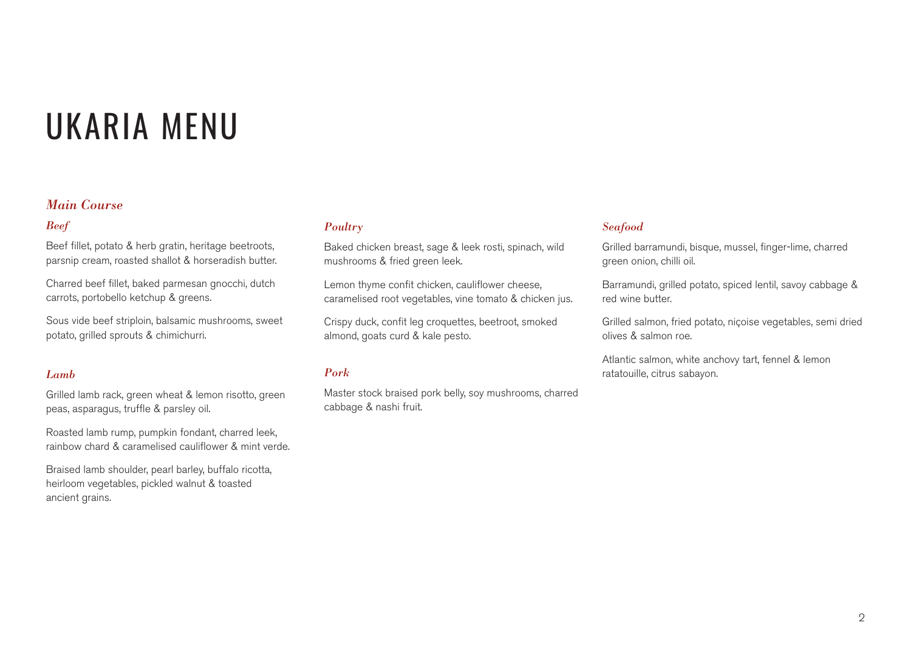### *Main Course*

### *Beef*

Beef fillet, potato & herb gratin, heritage beetroots, parsnip cream, roasted shallot & horseradish butter.

Charred beef fillet, baked parmesan gnocchi, dutch carrots, portobello ketchup & greens.

Sous vide beef striploin, balsamic mushrooms, sweet potato, grilled sprouts & chimichurri.

#### *Lamb*

Grilled lamb rack, green wheat & lemon risotto, green peas, asparagus, truffle & parsley oil.

Roasted lamb rump, pumpkin fondant, charred leek, rainbow chard & caramelised cauliflower & mint verde.

Braised lamb shoulder, pearl barley, buffalo ricotta, heirloom vegetables, pickled walnut & toasted ancient grains.

#### *Poultry*

Baked chicken breast, sage & leek rosti, spinach, wild mushrooms & fried green leek.

Lemon thyme confit chicken, cauliflower cheese, caramelised root vegetables, vine tomato & chicken jus.

Crispy duck, confit leg croquettes, beetroot, smoked almond, goats curd & kale pesto.

### *Pork*

Master stock braised pork belly, soy mushrooms, charred cabbage & nashi fruit.

#### *Seafood*

Grilled barramundi, bisque, mussel, finger-lime, charred green onion, chilli oil.

Barramundi, grilled potato, spiced lentil, savoy cabbage & red wine butter.

Grilled salmon, fried potato, niçoise vegetables, semi dried olives & salmon roe.

Atlantic salmon, white anchovy tart, fennel & lemon ratatouille, citrus sabayon.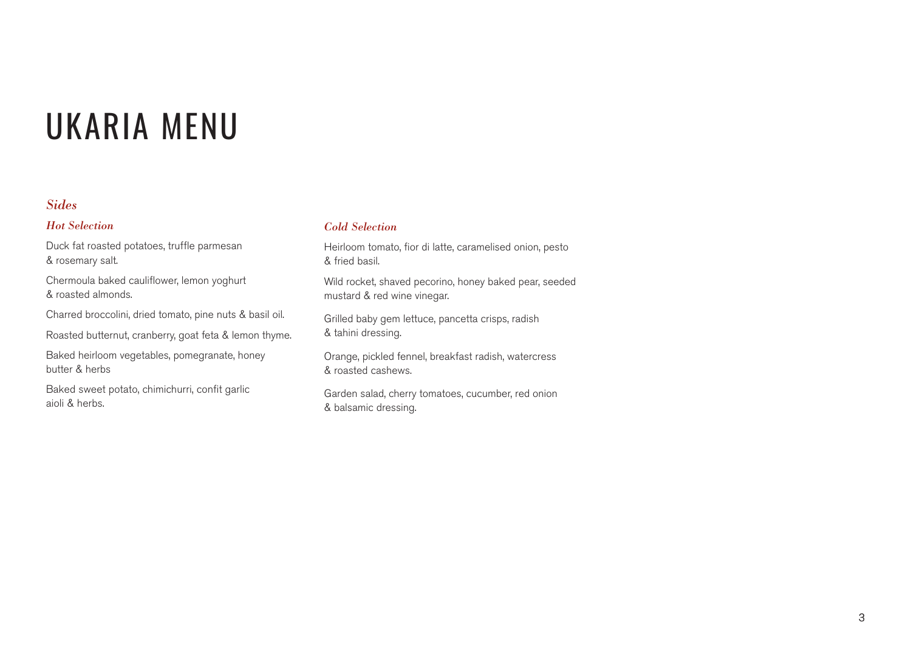## *Sides*

#### *Hot Selection*

Duck fat roasted potatoes, truffle parmesan & rosemary salt.

Chermoula baked cauliflower, lemon yoghurt & roasted almonds.

Charred broccolini, dried tomato, pine nuts & basil oil.

Roasted butternut, cranberry, goat feta & lemon thyme.

Baked heirloom vegetables, pomegranate, honey butter & herbs

Baked sweet potato, chimichurri, confit garlic aioli & herbs.

### *Cold Selection*

Heirloom tomato, fior di latte, caramelised onion, pesto & fried basil.

Wild rocket, shaved pecorino, honey baked pear, seeded mustard & red wine vinegar.

Grilled baby gem lettuce, pancetta crisps, radish & tahini dressing.

Orange, pickled fennel, breakfast radish, watercress & roasted cashews.

Garden salad, cherry tomatoes, cucumber, red onion & balsamic dressing.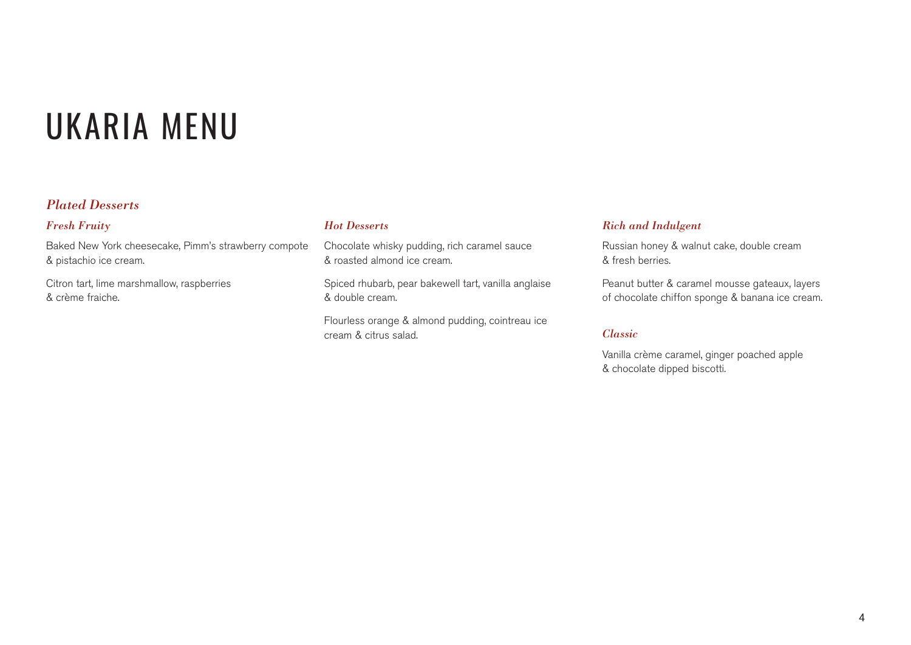## *Plated Desserts*

#### *Fresh Fruity*

Baked New York cheesecake, Pimm's strawberry compote & pistachio ice cream.

Citron tart, lime marshmallow, raspberries & crème fraiche.

### *Hot Desserts*

Chocolate whisky pudding, rich caramel sauce & roasted almond ice cream.

Spiced rhubarb, pear bakewell tart, vanilla anglaise & double cream.

Flourless orange & almond pudding, cointreau ice cream & citrus salad.

#### *Rich and Indulgent*

Russian honey & walnut cake, double cream & fresh berries.

Peanut butter & caramel mousse gateaux, layers of chocolate chiffon sponge & banana ice cream.

#### *Classic*

Vanilla crème caramel, ginger poached apple & chocolate dipped biscotti.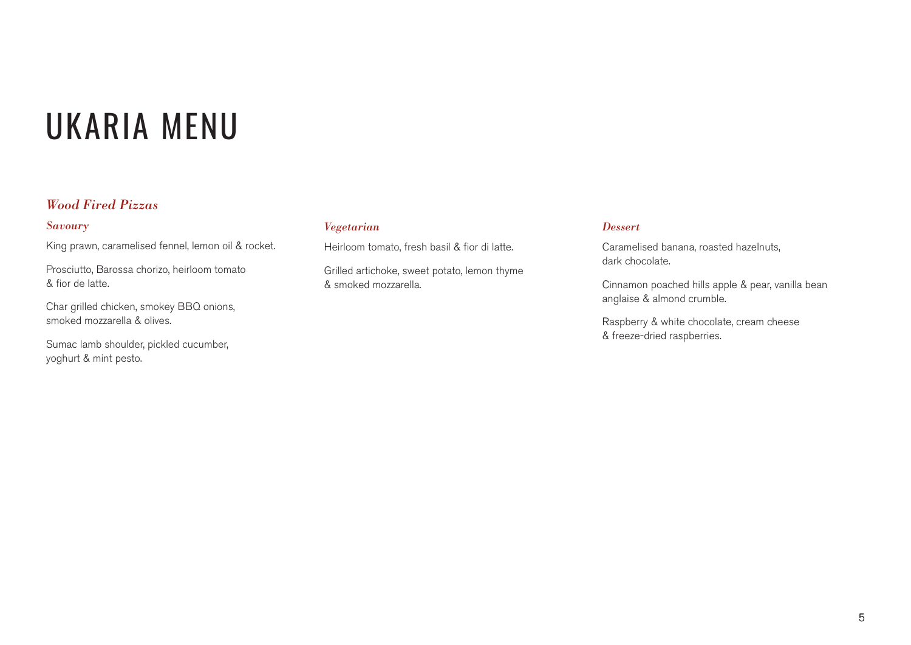## *Wood Fired Pizzas*

#### *Savoury*

King prawn, caramelised fennel, lemon oil & rocket.

Prosciutto, Barossa chorizo, heirloom tomato & fior de latte.

Char grilled chicken, smokey BBQ onions, smoked mozzarella & olives.

Sumac lamb shoulder, pickled cucumber, yoghurt & mint pesto.

#### *Vegetarian*

Heirloom tomato, fresh basil & fior di latte.

Grilled artichoke, sweet potato, lemon thyme & smoked mozzarella.

#### *Dessert*

Caramelised banana, roasted hazelnuts, dark chocolate.

Cinnamon poached hills apple & pear, vanilla bean anglaise & almond crumble.

Raspberry & white chocolate, cream cheese & freeze-dried raspberries.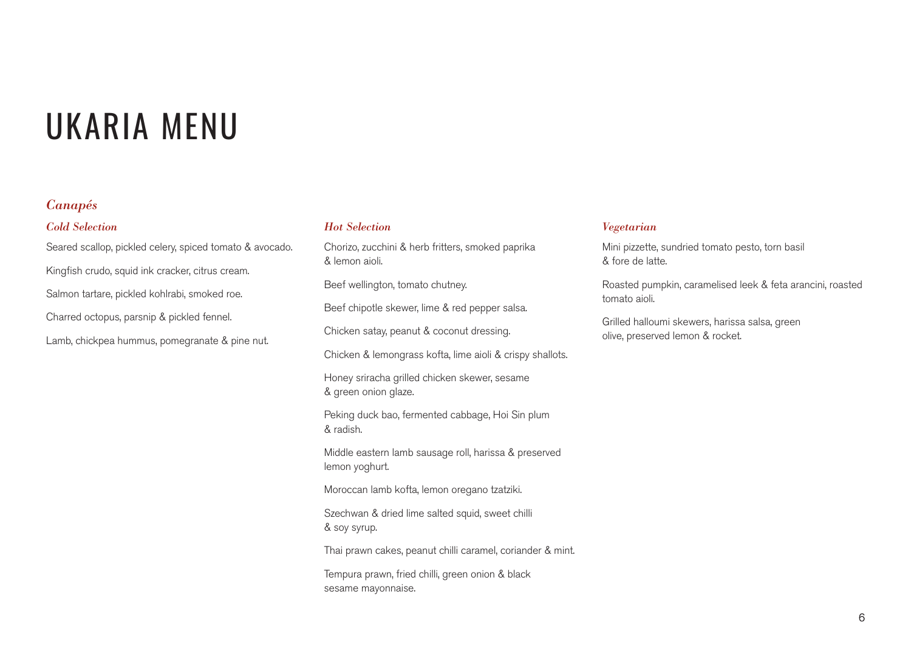## *Canapés*

#### *Cold Selection*

Seared scallop, pickled celery, spiced tomato & avocado. Kingfish crudo, squid ink cracker, citrus cream. Salmon tartare, pickled kohlrabi, smoked roe. Charred octopus, parsnip & pickled fennel. Lamb, chickpea hummus, pomegranate & pine nut.

#### *Hot Selection*

Chorizo, zucchini & herb fritters, smoked paprika & lemon aioli.

Beef wellington, tomato chutney.

Beef chipotle skewer, lime & red pepper salsa.

Chicken satay, peanut & coconut dressing.

Chicken & lemongrass kofta, lime aioli & crispy shallots.

Honey sriracha grilled chicken skewer, sesame & green onion glaze.

Peking duck bao, fermented cabbage, Hoi Sin plum & radish.

Middle eastern lamb sausage roll, harissa & preserved lemon yoghurt.

Moroccan lamb kofta, lemon oregano tzatziki.

Szechwan & dried lime salted squid, sweet chilli & soy syrup.

Thai prawn cakes, peanut chilli caramel, coriander & mint.

Tempura prawn, fried chilli, green onion & black sesame mayonnaise.

#### *Vegetarian*

Mini pizzette, sundried tomato pesto, torn basil & fore de latte.

Roasted pumpkin, caramelised leek & feta arancini, roasted tomato aioli.

Grilled halloumi skewers, harissa salsa, green olive, preserved lemon & rocket.